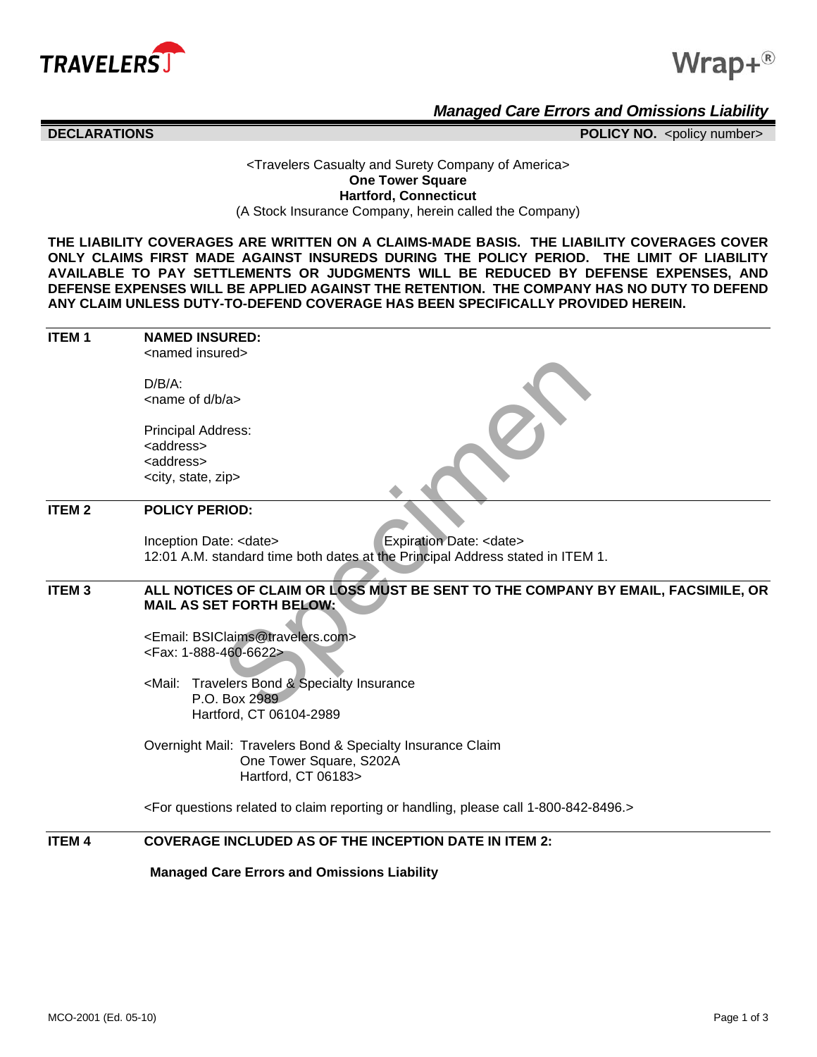



*Managed Care Errors and Omissions Liability*

## **DECLARATIONS** POLICY NO. <policy number>

## <Travelers Casualty and Surety Company of America> **One Tower Square Hartford, Connecticut** (A Stock Insurance Company, herein called the Company)

**THE LIABILITY COVERAGES ARE WRITTEN ON A CLAIMS-MADE BASIS. THE LIABILITY COVERAGES COVER ONLY CLAIMS FIRST MADE AGAINST INSUREDS DURING THE POLICY PERIOD. THE LIMIT OF LIABILITY AVAILABLE TO PAY SETTLEMENTS OR JUDGMENTS WILL BE REDUCED BY DEFENSE EXPENSES, AND DEFENSE EXPENSES WILL BE APPLIED AGAINST THE RETENTION. THE COMPANY HAS NO DUTY TO DEFEND ANY CLAIM UNLESS DUTY-TO-DEFEND COVERAGE HAS BEEN SPECIFICALLY PROVIDED HEREIN.**

| <b>ITEM1</b>      | <b>NAMED INSURED:</b>                                                                                                   |
|-------------------|-------------------------------------------------------------------------------------------------------------------------|
|                   | <named insured=""></named>                                                                                              |
|                   | $D/B/A$ :                                                                                                               |
|                   | $\leq$ name of d/b/a $>$                                                                                                |
|                   |                                                                                                                         |
|                   | <b>Principal Address:</b>                                                                                               |
|                   | <address></address>                                                                                                     |
|                   | <address></address>                                                                                                     |
|                   | <city, state,="" zip=""></city,>                                                                                        |
| <b>ITEM2</b>      | <b>POLICY PERIOD:</b>                                                                                                   |
|                   | Expiration Date: <date><br/>Inception Date: <date></date></date>                                                        |
|                   | 12:01 A.M. standard time both dates at the Principal Address stated in ITEM 1.                                          |
|                   |                                                                                                                         |
| ITEM <sub>3</sub> | ALL NOTICES OF CLAIM OR LOSS MUST BE SENT TO THE COMPANY BY EMAIL, FACSIMILE, OR                                        |
|                   | <b>MAIL AS SET FORTH BELOW:</b>                                                                                         |
|                   | <email: bsiclaims@travelers.com=""></email:>                                                                            |
|                   | <fax: 1-888-460-6622=""></fax:>                                                                                         |
|                   |                                                                                                                         |
|                   | Travelers Bond & Specialty Insurance<br><mail:< th=""></mail:<>                                                         |
|                   | P.O. Box 2989                                                                                                           |
|                   | Hartford, CT 06104-2989                                                                                                 |
|                   | Overnight Mail: Travelers Bond & Specialty Insurance Claim                                                              |
|                   | One Tower Square, S202A                                                                                                 |
|                   | Hartford, CT 06183>                                                                                                     |
|                   | <for 1-800-842-8496.="" call="" claim="" handling,="" or="" please="" questions="" related="" reporting="" to=""></for> |
| <b>ITEM 4</b>     | <b>COVERAGE INCLUDED AS OF THE INCEPTION DATE IN ITEM 2:</b>                                                            |
|                   | <b>Managed Care Errors and Omissions Liability</b>                                                                      |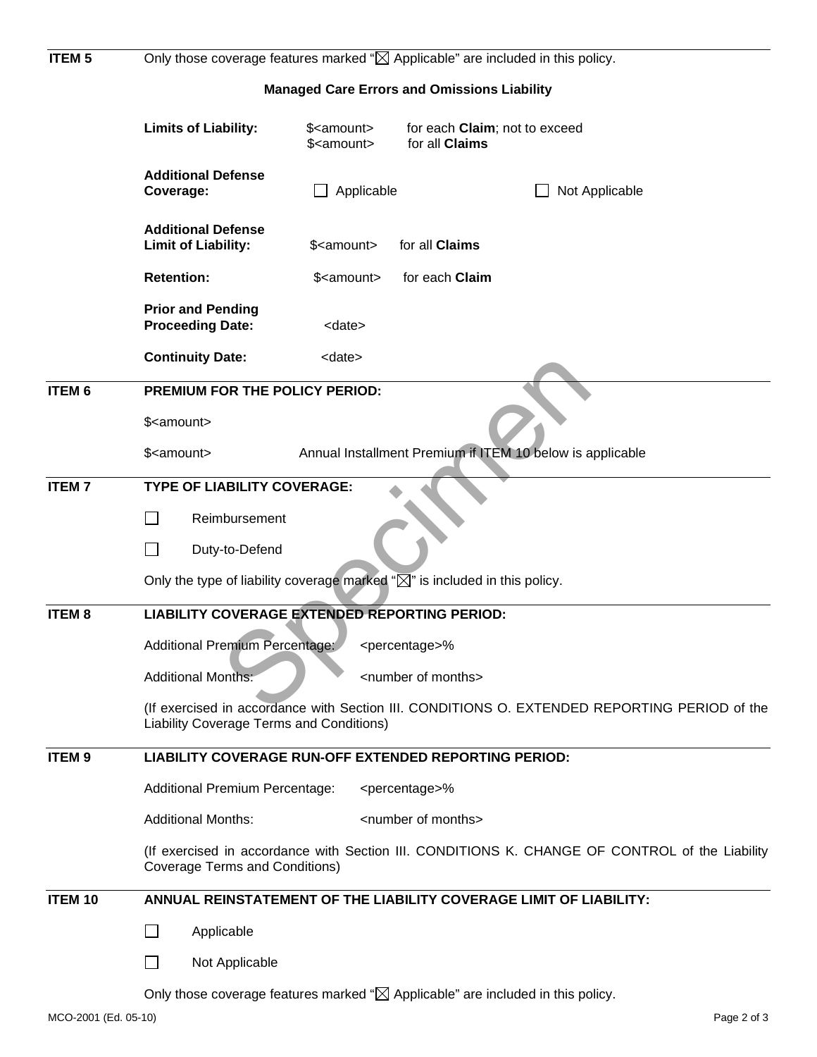| <b>ITEM 5</b>  | Only those coverage features marked " $\boxtimes$ Applicable" are included in this policy.<br><b>Managed Care Errors and Omissions Liability</b> |                                              |                                                                                              |  |
|----------------|--------------------------------------------------------------------------------------------------------------------------------------------------|----------------------------------------------|----------------------------------------------------------------------------------------------|--|
|                |                                                                                                                                                  |                                              |                                                                                              |  |
|                | <b>Limits of Liability:</b>                                                                                                                      | \$ <amount><br/>\$<amount></amount></amount> | for each Claim; not to exceed<br>for all Claims                                              |  |
|                | <b>Additional Defense</b><br>Coverage:                                                                                                           | Applicable                                   | Not Applicable                                                                               |  |
|                | <b>Additional Defense</b><br><b>Limit of Liability:</b>                                                                                          | for all Claims<br>\$ <amount></amount>       |                                                                                              |  |
|                | <b>Retention:</b><br>for each Claim<br>\$ <amount></amount>                                                                                      |                                              |                                                                                              |  |
|                | <b>Prior and Pending</b><br><b>Proceeding Date:</b>                                                                                              | <date></date>                                |                                                                                              |  |
|                | <b>Continuity Date:</b>                                                                                                                          | <date></date>                                |                                                                                              |  |
| <b>ITEM 6</b>  | PREMIUM FOR THE POLICY PERIOD:                                                                                                                   |                                              |                                                                                              |  |
|                | \$ <amount></amount>                                                                                                                             |                                              |                                                                                              |  |
|                | \$ <amount></amount>                                                                                                                             |                                              | Annual Installment Premium if ITEM 10 below is applicable                                    |  |
| <b>ITEM7</b>   | <b>TYPE OF LIABILITY COVERAGE:</b>                                                                                                               |                                              |                                                                                              |  |
|                | Reimbursement                                                                                                                                    |                                              |                                                                                              |  |
|                | Duty-to-Defend                                                                                                                                   |                                              |                                                                                              |  |
|                | Only the type of liability coverage marked " $\boxtimes$ " is included in this policy.                                                           |                                              |                                                                                              |  |
| <b>ITEM8</b>   | <b>LIABILITY COVERAGE EXTENDED REPORTING PERIOD:</b>                                                                                             |                                              |                                                                                              |  |
|                | <b>Additional Premium Percentage:</b><br><percentage>%</percentage>                                                                              |                                              |                                                                                              |  |
|                | <b>Additional Months:</b>                                                                                                                        | <number months="" of=""></number>            |                                                                                              |  |
|                | Liability Coverage Terms and Conditions)                                                                                                         |                                              | (If exercised in accordance with Section III. CONDITIONS O. EXTENDED REPORTING PERIOD of the |  |
| <b>ITEM9</b>   | <b>LIABILITY COVERAGE RUN-OFF EXTENDED REPORTING PERIOD:</b>                                                                                     |                                              |                                                                                              |  |
|                | <b>Additional Premium Percentage:</b><br><percentage>%</percentage>                                                                              |                                              |                                                                                              |  |
|                | <b>Additional Months:</b><br><number months="" of=""></number>                                                                                   |                                              |                                                                                              |  |
|                | (If exercised in accordance with Section III. CONDITIONS K. CHANGE OF CONTROL of the Liability<br><b>Coverage Terms and Conditions)</b>          |                                              |                                                                                              |  |
| <b>ITEM 10</b> |                                                                                                                                                  |                                              | ANNUAL REINSTATEMENT OF THE LIABILITY COVERAGE LIMIT OF LIABILITY:                           |  |
|                | Applicable                                                                                                                                       |                                              |                                                                                              |  |
|                | Not Applicable                                                                                                                                   |                                              |                                                                                              |  |
|                | Only those coverage features marked " $\boxtimes$ Applicable" are included in this policy.                                                       |                                              |                                                                                              |  |